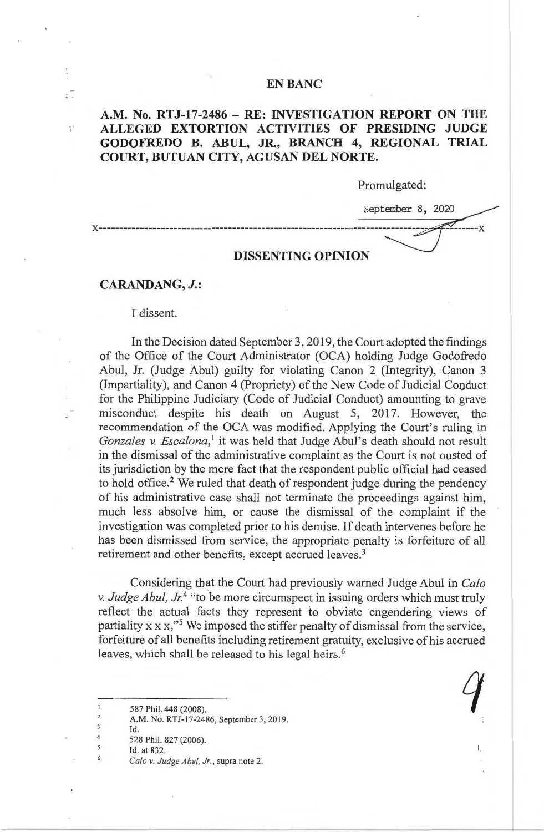#### **EN BANC**

## **A.M. No. RTJ-17-2486 - RE: INVESTIGATION REPORT ON THE ALLEGED EXTORTION ACTIVITIES OF PRESIDING JUDGE GODOFREDO B. ABUL, JR., BRANCH 4, REGIONAL TRIAL COURT, BUTUAN CITY, AGUSAN DEL NORTE.**

Promulgated:

1.

September 8, 2020 ~ x------------------------------------------------------------------~--x

#### **DISSENTING OPINION**

### **CARANDANG, J.:**

 $\mathbb{R}^{\frac{1}{n}}$ 

 $\stackrel{\scriptscriptstyle{0}}{\scriptscriptstyle{E}}^{\scriptscriptstyle{+}}$ 

I dissent.

In the Decision dated September 3, 2019, the Court adopted the findings of the Office of the Court Administrator (OCA) holding Judge Godofredo Abul, Jr. (Judge Abul) guilty for violating Canon 2 (Integrity), Canon 3 (Impartiality), and Canon 4 (Propriety) of the New Code of Judicial Conduct for the Philippine Judiciary (Code of Judicial Conduct) amounting to grave misconduct despite his death on August 5, 2017. However, the recommendation of the OCA was modified. Applying the Court's ruling in *Gonzales v. Escalona*,<sup>1</sup> it was held that Judge Abul's death should not result in the dismissal of the administrative complaint as the Court is not ousted of its jurisdiction by the mere fact that the respondent public official had ceased to hold office.<sup>2</sup> We ruled that death of respondent judge during the pendency of his administrative case shall not terminate the proceedings against him, much less absolve him, or cause the dismissal of the complaint if the investigation was completed prior to his demise. If death intervenes before he has been dismissed from service, the appropriate penalty is forfeiture of all retirement and other benefits, except accrued leaves.<sup>3</sup>

Considering that the Court had previously warned Judge Abul in *Calo v. Judge Abu!, Jr. <sup>4</sup>*"to be more circumspect in issuing orders which must truly reflect the actual facts they represent to obviate engendering views of partiality  $x \times x$ ,"<sup>5</sup> We imposed the stiffer penalty of dismissal from the service, forfeiture of all benefits including retirement gratuity, exclusive of his accrued leaves, which shall be released to his legal heirs.<sup>6</sup> *q* 

587 Phil. 448 (2008).

 $\overline{3}$ Id.  $\overline{4}$ 

6

5

 $\overline{c}$ 

528 Phil. 827 (2006).

A.M. No. RTJ-17-2486, September 3, 2019.

Id. at 832.

*Calo v. Judge Abu!, Jr.,* supra note 2.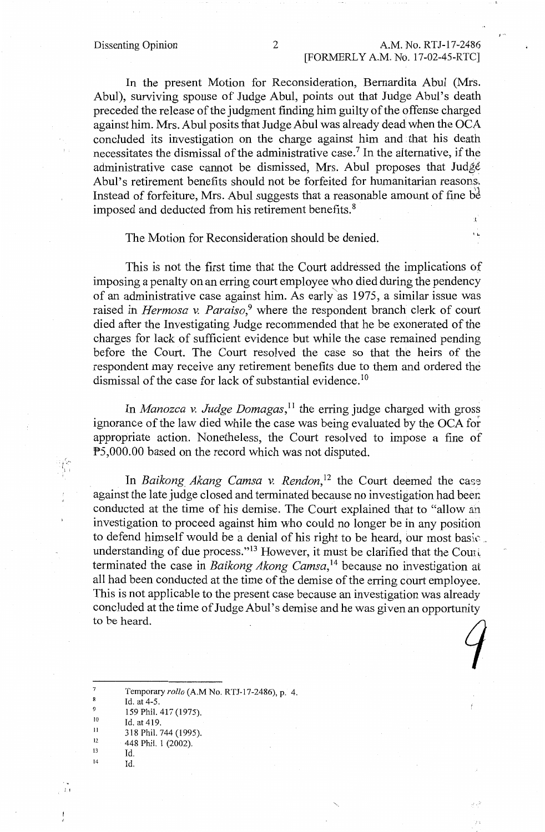'"

In the present Motion for Reconsideration, Bemardita Abul (Mrs. Abul), surviving spouse of Judge Abul, points out that Judge Abul's death preceded the release of the judgment finding him guilty of the offense charged against him. Mrs. Abul posits that Judge Abul was already dead when the OCA concluded its investigation on the charge against him and that his death necessitates the dismissal of the administrative case.7 In the alternative, if the administrative case cannot be dismissed, Mrs. Abul proposes that Judgé Abul's retirement benefits should not be forfeited for humanitarian reasons. Instead of forfeiture, Mrs. Abul suggests that a reasonable amount of fine be imposed and deducted from his retirement benefits. <sup>8</sup> E.

# The Motion for Reconsideration should be denied.

This is not the first time that the Court addressed the implications of imposing a penalty on an erring court employee who died during the pendency of an administrative case against him. As early"as 1975, a similar issue was raised in *Hermosa v. Paraiso*,<sup>9</sup> where the respondent branch clerk of court died after the Investigating Judge recommended that he be exonerated of the charges for lack of sufficient evidence but while the case remained pending before the Court. The Court resolved the case so that the heirs of the respondent may receive any retirement benefits due to them and ordered the dismissal of the case for lack of substantial evidence.<sup>10</sup>

In *Manozca v. Judge Domagas,* 11 the erring judge charged with gross ignorance of the law died while the case was being evaluated by the OCA for appropriate action. Nonetheless, the Court resolved to impose a fine of PS,000.00 based on the record which was not disputed.

In *Baikong Akang Camsa v. Rendon*,<sup>12</sup> the Court deemed the case against the late judge closed and terminated because no investigation had been conducted at the time of his demise. The Court explained that to "allow an investigation to proceed against him who could no longer be in any position to defend himself would be a denial of his right to be heard, our most basic . understanding of due process."<sup>13</sup> However, it must be clarified that the Court terminated the case in *Baikong Akong Camsa*,<sup>14</sup> because no investigation at all had been conducted at the time of the demise of the erring court employee. This is not applicable to the present case because an investigation was already concluded at the time of Judge Abul's demise and he was given an opportunity to be heard.  $\int$ 

 $\overline{7}$ Temporary *rollo* (A.M No. RTJ-17-2486), p. 4.  $\bf 8$ Id. at 4-5. 9 159 Phil. 417 (1975). 10 Id. at 419. II 318 Phil. 744 (1995). 12 448 Phil. 1 (2002). 13

Id.

14

 $\,$  I,  $\,$ 

ist<br>Iir

Id.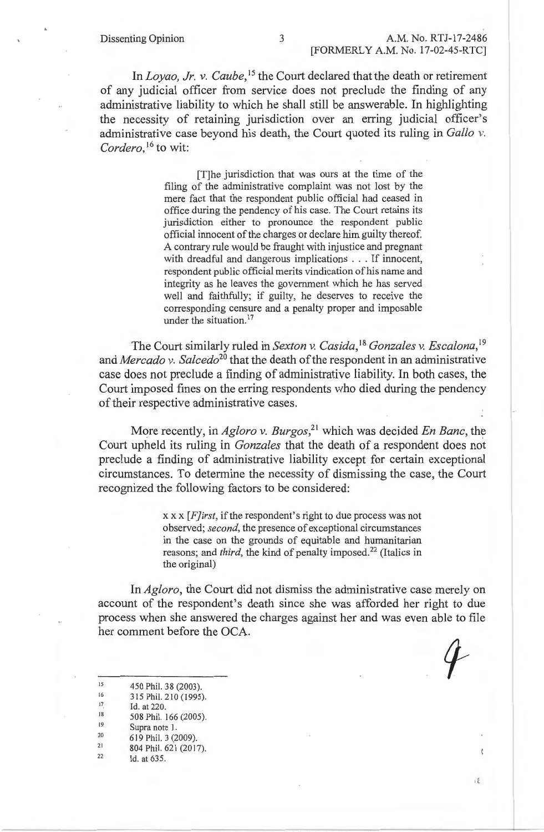In *Loyao, Jr. v. Caube*,<sup>15</sup> the Court declared that the death or retirement of any judicial officer from service does not preclude the finding of any administrative liability to which he shall still be answerable. In highlighting the necessity of retaining jurisdiction over an erring judicial officer's administrative case beyond his death, the Court quoted its ruling in *Gallo* v. Cordero,<sup>16</sup> to wit:

> [T]he jurisdiction that was ours at the time of the filing of the administrative complaint was not lost by the mere fact that the respondent public official had ceased in office during the pendency of his case. The Court retains its jurisdiction either to pronounce the respondent public official innocent of the charges or declare him guilty thereof. A contrary rule would be fraught with injustice and pregnant with dreadful and dangerous implications . . . If innocent, respondent public official merits vindication of his name and integrity as he leaves the government which he has served well and faithfully; if guilty, he deserves to receive the corresponding censure and a penalty proper and imposable under the situation.<sup>17</sup>

The Court similarly ruled in *Sexton v. Casida,* <sup>18</sup>*Gonzales v. Escalona,* <sup>19</sup> and *Mercado v. Salcedo*<sup>20</sup> that the death of the respondent in an administrative case does not preclude a finding of administrative liability. In both cases, the Court imposed fines on the erring respondents who died during the pendency of their respective administrative cases.

More recently, in *Agloro v. Burgos*,<sup>21</sup> which was decided *En Banc*, the Court upheld its ruling in *Gonzales* that the death of a respondent does not preclude a finding of administrative liability except for certain exceptional circumstances. To determine the necessity of dismissing the case, the Court recognized the following factors to be considered:

> xx x *[F]irst,* if the respondent's right to due process was not observed; *second,* the presence of exceptional circumstances in the case on the grounds of equitable and humanitarian reasons; and *third*, the kind of penalty imposed.<sup>22</sup> (Italics in the original)

In *Agloro,* the Court did not dismiss the administrative case merely on account of the respondent's death since she was afforded her right to due process when she answered the charges against her and was even able to file her comment before the OCA.

ιÉ

15 450 Phil. 38 (2003).

16 315 Phil. 210 (1995).

17 Id. at 220.

18 508 Phil. 166 (2005).

- 19 Supra note I.
- 20 619 Phil. 3 (2009).
- 21 804 Phil. 621 (2017).
- 22 Id. at 635.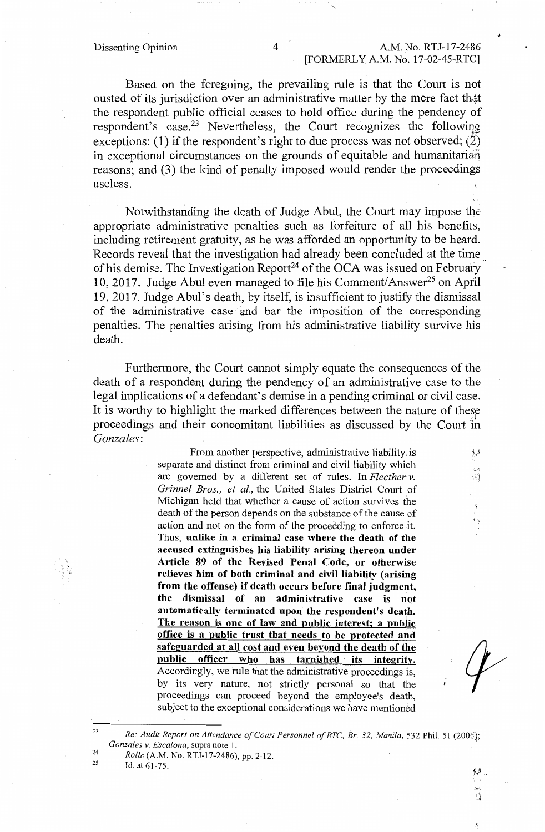Based on the foregoing, the prevailing rule is that the Court is not ousted of its jurisdiction over an administrative matter by the mere fact that the respondent public official ceases to hold office during the pendency of respondent's case.<sup>23</sup> Nevertheless, the Court recognizes the following exceptions: (1) if the respondent's right to due process was not observed; (2) in exceptional circumstances on the grounds of equitable and humanitarian reasons; and (3) the kind of penalty imposed would render the proceedings useless.

Notwithstanding the death of Judge Abul, the Court may impose the: appropriate administrative penalties such as forfeiture of all his benefits, including retirement gratuity, as he was afforded an opportunity to be heard. Records reveal that the investigation had already been concluded at the time\_. of his demise. The Investigation Report<sup>24</sup> of the OCA was issued on February 10, 2017. Judge Abul even managed to file his Comment/Answer<sup>25</sup> on April 19, 2017. Judge Abul's death, by itself, is insufficient to justify the dismissal of the administrative case and bar the imposition of the corresponding penalties. The penalties arising from his administrative liability survive his death.

Furthermore, the Court cannot simply equate the consequences of the death of a respondent during the pendency of an administrative case to the legal implications of a defendant's demise in a pending criminal or civil case. It is worthy to highlight the marked differences between the nature of these proceedings and their concomitant liabilities as discussed by the Court ih *Gonzales:* 

> From another perspective, administrative liability is separate and distinct from criminal and civil liability which are governed by a different set of rules. In *Flecther v. Grinnel Bros., et al.,* the United States District Court of Michigan held that whether a cause of action survives the death of the person depends on the substance of the cause of action and not on the form of the proceeding to enforce it. Thus, **unlike in a criminal case where the death of the accused extinguishes his liability arising thereon under Article 89 of the Revised Penal Code, or otherwise relieves him of both criminal and civil liability (arising from the offense) if death occurs before final judgment, the dismissal of an administrative case is not automatically terminated upon the respondent's death. The reason is one of law and public interest; a public office is a public trust that needs to be protected and safeguarded at all cost and even beyond the death of the public officer who has tarnished its integrity.**  Accordingly, we rule that the administrative proceedings is, by its very nature, not strictly personal so that the proceedings can proceed beyond the employee's death, subject to the exceptional considerations we have mentioned

 $\chi^2$ 

ी

ŧ٩

<sup>&</sup>lt;sup>23</sup> Re: Audit Report on Attendance of Court Personnel of RTC, Br. 32, Manila, 532 Phil. 51 (2006);<br>*Gonzales v. Escalona*, supra note 1. 24

*Rollo* (A.M. No. RTJ-17-2486), pp. 2-12.

<sup>25</sup>  Id. at 61-75.